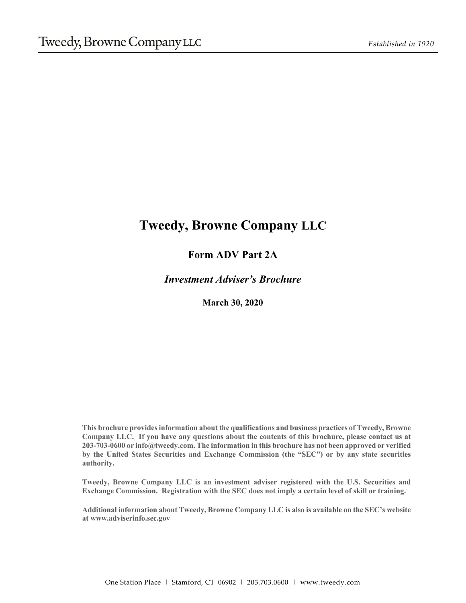# **Tweedy, Browne Company LLC**

## **Form ADV Part 2A**

*Investment Adviser's Brochure* 

**March 30, 2020** 

**This brochure provides information about the qualifications and business practices of Tweedy, Browne Company LLC. If you have any questions about the contents of this brochure, please contact us at 203-703-0600 or info@tweedy.com. The information in this brochure has not been approved or verified by the United States Securities and Exchange Commission (the "SEC") or by any state securities authority.** 

**Tweedy, Browne Company LLC is an investment adviser registered with the U.S. Securities and Exchange Commission. Registration with the SEC does not imply a certain level of skill or training.** 

**Additional information about Tweedy, Browne Company LLC is also is available on the SEC's website at www.adviserinfo.sec.gov**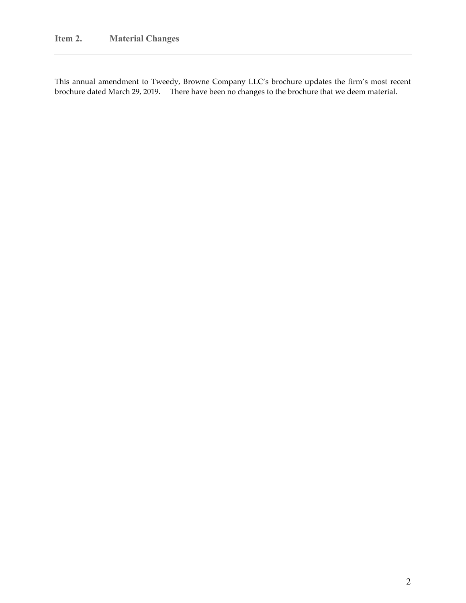This annual amendment to Tweedy, Browne Company LLC's brochure updates the firm's most recent brochure dated March 29, 2019. There have been no changes to the brochure that we deem material.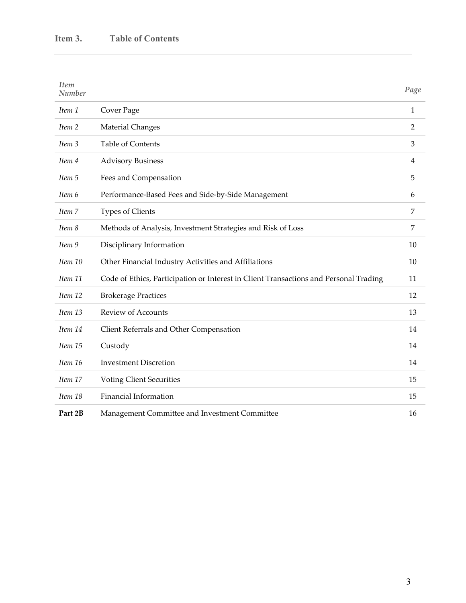| <b>Item</b><br>Number |                                                                                       | Page           |
|-----------------------|---------------------------------------------------------------------------------------|----------------|
| Item 1                | Cover Page                                                                            | $\mathbf{1}$   |
| Item 2                | <b>Material Changes</b>                                                               | $\overline{2}$ |
| Item <sub>3</sub>     | <b>Table of Contents</b>                                                              | 3              |
| Item 4                | <b>Advisory Business</b>                                                              | 4              |
| Item 5                | Fees and Compensation                                                                 | 5              |
| Item 6                | Performance-Based Fees and Side-by-Side Management                                    | 6              |
| Item 7                | Types of Clients                                                                      | 7              |
| Item 8                | Methods of Analysis, Investment Strategies and Risk of Loss                           | 7              |
| Item 9                | Disciplinary Information                                                              | 10             |
| Item 10               | Other Financial Industry Activities and Affiliations                                  | 10             |
| Item 11               | Code of Ethics, Participation or Interest in Client Transactions and Personal Trading | 11             |
| Item 12               | <b>Brokerage Practices</b>                                                            | 12             |
| Item 13               | <b>Review of Accounts</b>                                                             | 13             |
| Item 14               | Client Referrals and Other Compensation                                               | 14             |
| Item 15               | Custody                                                                               | 14             |
| Item 16               | <b>Investment Discretion</b>                                                          | 14             |
| Item 17               | <b>Voting Client Securities</b>                                                       | 15             |
| Item 18               | Financial Information                                                                 | 15             |
| Part 2B               | Management Committee and Investment Committee                                         | 16             |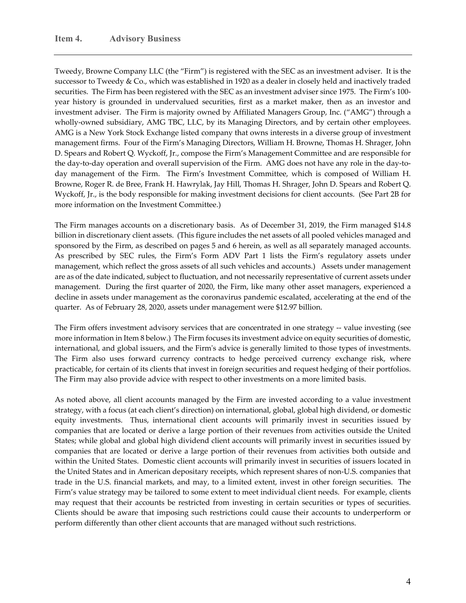Tweedy, Browne Company LLC (the "Firm") is registered with the SEC as an investment adviser. It is the successor to Tweedy & Co., which was established in 1920 as a dealer in closely held and inactively traded securities. The Firm has been registered with the SEC as an investment adviser since 1975. The Firm's 100year history is grounded in undervalued securities, first as a market maker, then as an investor and investment adviser. The Firm is majority owned by Affiliated Managers Group, Inc. ("AMG") through a wholly-owned subsidiary, AMG TBC, LLC, by its Managing Directors, and by certain other employees. AMG is a New York Stock Exchange listed company that owns interests in a diverse group of investment management firms. Four of the Firm's Managing Directors, William H. Browne, Thomas H. Shrager, John D. Spears and Robert Q. Wyckoff, Jr., compose the Firm's Management Committee and are responsible for the day-to-day operation and overall supervision of the Firm. AMG does not have any role in the day-today management of the Firm. The Firm's Investment Committee, which is composed of William H. Browne, Roger R. de Bree, Frank H. Hawrylak, Jay Hill, Thomas H. Shrager, John D. Spears and Robert Q. Wyckoff, Jr., is the body responsible for making investment decisions for client accounts. (See Part 2B for more information on the Investment Committee.)

The Firm manages accounts on a discretionary basis. As of December 31, 2019, the Firm managed \$14.8 billion in discretionary client assets. (This figure includes the net assets of all pooled vehicles managed and sponsored by the Firm, as described on pages 5 and 6 herein, as well as all separately managed accounts. As prescribed by SEC rules, the Firm's Form ADV Part 1 lists the Firm's regulatory assets under management, which reflect the gross assets of all such vehicles and accounts.) Assets under management are as of the date indicated, subject to fluctuation, and not necessarily representative of current assets under management. During the first quarter of 2020, the Firm, like many other asset managers, experienced a decline in assets under management as the coronavirus pandemic escalated, accelerating at the end of the quarter. As of February 28, 2020, assets under management were \$12.97 billion.

The Firm offers investment advisory services that are concentrated in one strategy -- value investing (see more information in Item 8 below.) The Firm focuses its investment advice on equity securities of domestic, international, and global issuers, and the Firmʹs advice is generally limited to those types of investments. The Firm also uses forward currency contracts to hedge perceived currency exchange risk, where practicable, for certain of its clients that invest in foreign securities and request hedging of their portfolios. The Firm may also provide advice with respect to other investments on a more limited basis.

As noted above, all client accounts managed by the Firm are invested according to a value investment strategy, with a focus (at each client's direction) on international, global, global high dividend, or domestic equity investments. Thus, international client accounts will primarily invest in securities issued by companies that are located or derive a large portion of their revenues from activities outside the United States; while global and global high dividend client accounts will primarily invest in securities issued by companies that are located or derive a large portion of their revenues from activities both outside and within the United States. Domestic client accounts will primarily invest in securities of issuers located in the United States and in American depositary receipts, which represent shares of non‐U.S. companies that trade in the U.S. financial markets, and may, to a limited extent, invest in other foreign securities. The Firm's value strategy may be tailored to some extent to meet individual client needs. For example, clients may request that their accounts be restricted from investing in certain securities or types of securities. Clients should be aware that imposing such restrictions could cause their accounts to underperform or perform differently than other client accounts that are managed without such restrictions.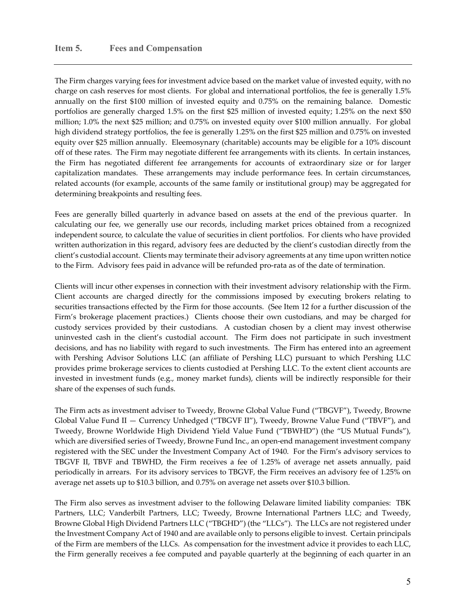The Firm charges varying fees for investment advice based on the market value of invested equity, with no charge on cash reserves for most clients. For global and international portfolios, the fee is generally 1.5% annually on the first \$100 million of invested equity and 0.75% on the remaining balance. Domestic portfolios are generally charged 1.5% on the first \$25 million of invested equity; 1.25% on the next \$50 million; 1.0% the next \$25 million; and 0.75% on invested equity over \$100 million annually. For global high dividend strategy portfolios, the fee is generally 1.25% on the first \$25 million and 0.75% on invested equity over \$25 million annually. Eleemosynary (charitable) accounts may be eligible for a 10% discount off of these rates. The Firm may negotiate different fee arrangements with its clients. In certain instances, the Firm has negotiated different fee arrangements for accounts of extraordinary size or for larger capitalization mandates. These arrangements may include performance fees. In certain circumstances, related accounts (for example, accounts of the same family or institutional group) may be aggregated for determining breakpoints and resulting fees.

Fees are generally billed quarterly in advance based on assets at the end of the previous quarter. In calculating our fee, we generally use our records, including market prices obtained from a recognized independent source, to calculate the value of securities in client portfolios. For clients who have provided written authorization in this regard, advisory fees are deducted by the client's custodian directly from the client's custodial account. Clients may terminate their advisory agreements at any time upon written notice to the Firm. Advisory fees paid in advance will be refunded pro‐rata as of the date of termination.

Clients will incur other expenses in connection with their investment advisory relationship with the Firm. Client accounts are charged directly for the commissions imposed by executing brokers relating to securities transactions effected by the Firm for those accounts. (See Item 12 for a further discussion of the Firm's brokerage placement practices.) Clients choose their own custodians, and may be charged for custody services provided by their custodians. A custodian chosen by a client may invest otherwise uninvested cash in the client's custodial account. The Firm does not participate in such investment decisions, and has no liability with regard to such investments. The Firm has entered into an agreement with Pershing Advisor Solutions LLC (an affiliate of Pershing LLC) pursuant to which Pershing LLC provides prime brokerage services to clients custodied at Pershing LLC. To the extent client accounts are invested in investment funds (e.g., money market funds), clients will be indirectly responsible for their share of the expenses of such funds.

The Firm acts as investment adviser to Tweedy, Browne Global Value Fund ("TBGVF"), Tweedy, Browne Global Value Fund II — Currency Unhedged ("TBGVF II"), Tweedy, Browne Value Fund ("TBVF"), and Tweedy, Browne Worldwide High Dividend Yield Value Fund ("TBWHD") (the "US Mutual Funds"), which are diversified series of Tweedy, Browne Fund Inc., an open-end management investment company registered with the SEC under the Investment Company Act of 1940. For the Firm's advisory services to TBGVF II, TBVF and TBWHD, the Firm receives a fee of 1.25% of average net assets annually, paid periodically in arrears. For its advisory services to TBGVF, the Firm receives an advisory fee of 1.25% on average net assets up to \$10.3 billion, and 0.75% on average net assets over \$10.3 billion.

The Firm also serves as investment adviser to the following Delaware limited liability companies: TBK Partners, LLC; Vanderbilt Partners, LLC; Tweedy, Browne International Partners LLC; and Tweedy, Browne Global High Dividend Partners LLC ("TBGHD") (the "LLCs"). The LLCs are not registered under the Investment Company Act of 1940 and are available only to persons eligible to invest. Certain principals of the Firm are members of the LLCs. As compensation for the investment advice it provides to each LLC, the Firm generally receives a fee computed and payable quarterly at the beginning of each quarter in an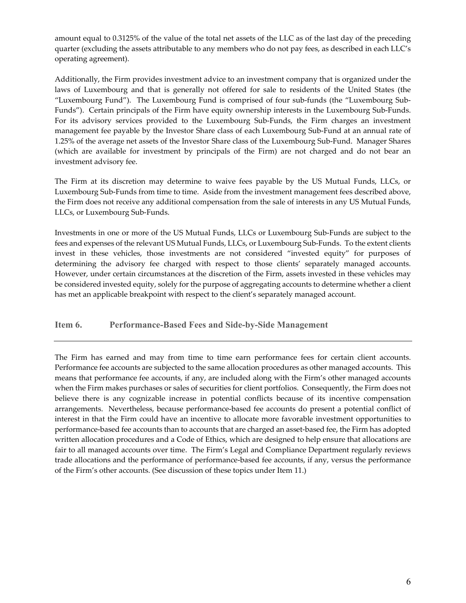amount equal to 0.3125% of the value of the total net assets of the LLC as of the last day of the preceding quarter (excluding the assets attributable to any members who do not pay fees, as described in each LLC's operating agreement).

Additionally, the Firm provides investment advice to an investment company that is organized under the laws of Luxembourg and that is generally not offered for sale to residents of the United States (the "Luxembourg Fund"). The Luxembourg Fund is comprised of four sub‐funds (the "Luxembourg Sub‐ Funds"). Certain principals of the Firm have equity ownership interests in the Luxembourg Sub‐Funds. For its advisory services provided to the Luxembourg Sub‐Funds, the Firm charges an investment management fee payable by the Investor Share class of each Luxembourg Sub‐Fund at an annual rate of 1.25% of the average net assets of the Investor Share class of the Luxembourg Sub‐Fund. Manager Shares (which are available for investment by principals of the Firm) are not charged and do not bear an investment advisory fee.

The Firm at its discretion may determine to waive fees payable by the US Mutual Funds, LLCs, or Luxembourg Sub‐Funds from time to time. Aside from the investment management fees described above, the Firm does not receive any additional compensation from the sale of interests in any US Mutual Funds, LLCs, or Luxembourg Sub‐Funds.

Investments in one or more of the US Mutual Funds, LLCs or Luxembourg Sub‐Funds are subject to the fees and expenses of the relevant US Mutual Funds, LLCs, or Luxembourg Sub‐Funds. To the extent clients invest in these vehicles, those investments are not considered "invested equity" for purposes of determining the advisory fee charged with respect to those clients' separately managed accounts. However, under certain circumstances at the discretion of the Firm, assets invested in these vehicles may be considered invested equity, solely for the purpose of aggregating accounts to determine whether a client has met an applicable breakpoint with respect to the client's separately managed account.

**Item 6. Performance-Based Fees and Side-by-Side Management** 

The Firm has earned and may from time to time earn performance fees for certain client accounts. Performance fee accounts are subjected to the same allocation procedures as other managed accounts. This means that performance fee accounts, if any, are included along with the Firm's other managed accounts when the Firm makes purchases or sales of securities for client portfolios. Consequently, the Firm does not believe there is any cognizable increase in potential conflicts because of its incentive compensation arrangements. Nevertheless, because performance‐based fee accounts do present a potential conflict of interest in that the Firm could have an incentive to allocate more favorable investment opportunities to performance‐based fee accounts than to accounts that are charged an asset‐based fee, the Firm has adopted written allocation procedures and a Code of Ethics, which are designed to help ensure that allocations are fair to all managed accounts over time. The Firm's Legal and Compliance Department regularly reviews trade allocations and the performance of performance-based fee accounts, if any, versus the performance of the Firm's other accounts. (See discussion of these topics under Item 11.)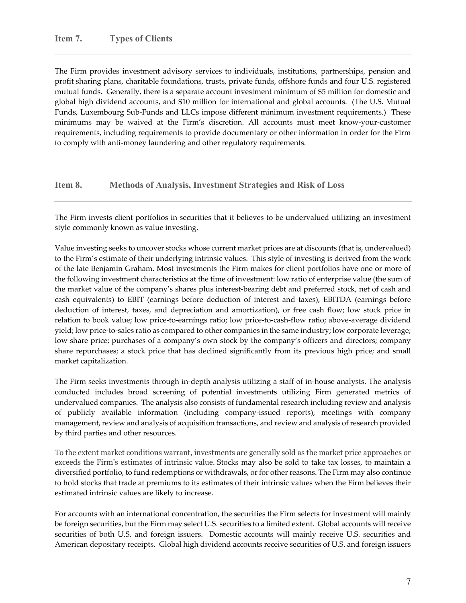The Firm provides investment advisory services to individuals, institutions, partnerships, pension and profit sharing plans, charitable foundations, trusts, private funds, offshore funds and four U.S. registered mutual funds. Generally, there is a separate account investment minimum of \$5 million for domestic and global high dividend accounts, and \$10 million for international and global accounts. (The U.S. Mutual Funds, Luxembourg Sub‐Funds and LLCs impose different minimum investment requirements.) These minimums may be waived at the Firm's discretion. All accounts must meet know‐your‐customer requirements, including requirements to provide documentary or other information in order for the Firm to comply with anti-money laundering and other regulatory requirements.

#### **Item 8. Methods of Analysis, Investment Strategies and Risk of Loss**

The Firm invests client portfolios in securities that it believes to be undervalued utilizing an investment style commonly known as value investing.

Value investing seeks to uncover stocks whose current market prices are at discounts (that is, undervalued) to the Firm's estimate of their underlying intrinsic values. This style of investing is derived from the work of the late Benjamin Graham. Most investments the Firm makes for client portfolios have one or more of the following investment characteristics at the time of investment: low ratio of enterprise value (the sum of the market value of the company's shares plus interest‐bearing debt and preferred stock, net of cash and cash equivalents) to EBIT (earnings before deduction of interest and taxes), EBITDA (earnings before deduction of interest, taxes, and depreciation and amortization), or free cash flow; low stock price in relation to book value; low price-to-earnings ratio; low price-to-cash-flow ratio; above-average dividend yield; low price-to-sales ratio as compared to other companies in the same industry; low corporate leverage; low share price; purchases of a company's own stock by the company's officers and directors; company share repurchases; a stock price that has declined significantly from its previous high price; and small market capitalization.

The Firm seeks investments through in‐depth analysis utilizing a staff of in‐house analysts. The analysis conducted includes broad screening of potential investments utilizing Firm generated metrics of undervalued companies. The analysis also consists of fundamental research including review and analysis of publicly available information (including company‐issued reports), meetings with company management, review and analysis of acquisition transactions, and review and analysis of research provided by third parties and other resources.

To the extent market conditions warrant, investments are generally sold as the market price approaches or exceeds the Firm's estimates of intrinsic value. Stocks may also be sold to take tax losses, to maintain a diversified portfolio, to fund redemptions or withdrawals, or for other reasons. The Firm may also continue to hold stocks that trade at premiums to its estimates of their intrinsic values when the Firm believes their estimated intrinsic values are likely to increase.

For accounts with an international concentration, the securities the Firm selects for investment will mainly be foreign securities, but the Firm may select U.S. securities to a limited extent. Global accounts will receive securities of both U.S. and foreign issuers. Domestic accounts will mainly receive U.S. securities and American depositary receipts. Global high dividend accounts receive securities of U.S. and foreign issuers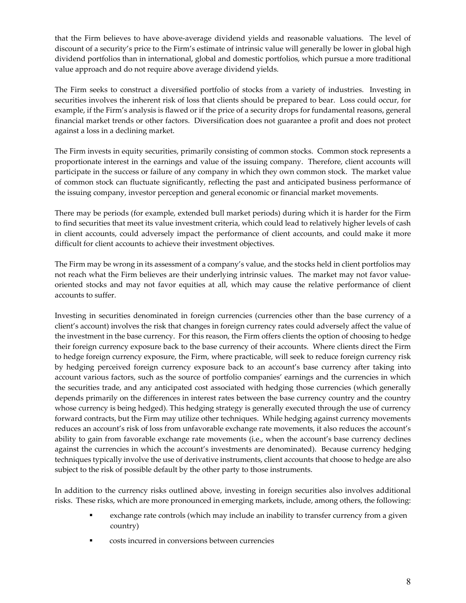that the Firm believes to have above‐average dividend yields and reasonable valuations. The level of discount of a security's price to the Firm's estimate of intrinsic value will generally be lower in global high dividend portfolios than in international, global and domestic portfolios, which pursue a more traditional value approach and do not require above average dividend yields.

The Firm seeks to construct a diversified portfolio of stocks from a variety of industries. Investing in securities involves the inherent risk of loss that clients should be prepared to bear. Loss could occur, for example, if the Firm's analysis is flawed or if the price of a security drops for fundamental reasons, general financial market trends or other factors. Diversification does not guarantee a profit and does not protect against a loss in a declining market.

The Firm invests in equity securities, primarily consisting of common stocks. Common stock represents a proportionate interest in the earnings and value of the issuing company. Therefore, client accounts will participate in the success or failure of any company in which they own common stock. The market value of common stock can fluctuate significantly, reflecting the past and anticipated business performance of the issuing company, investor perception and general economic or financial market movements.

There may be periods (for example, extended bull market periods) during which it is harder for the Firm to find securities that meet its value investment criteria, which could lead to relatively higher levels of cash in client accounts, could adversely impact the performance of client accounts, and could make it more difficult for client accounts to achieve their investment objectives.

The Firm may be wrong in its assessment of a company's value, and the stocks held in client portfolios may not reach what the Firm believes are their underlying intrinsic values. The market may not favor value‐ oriented stocks and may not favor equities at all, which may cause the relative performance of client accounts to suffer.

Investing in securities denominated in foreign currencies (currencies other than the base currency of a client's account) involves the risk that changes in foreign currency rates could adversely affect the value of the investment in the base currency. For this reason, the Firm offers clients the option of choosing to hedge their foreign currency exposure back to the base currency of their accounts. Where clients direct the Firm to hedge foreign currency exposure, the Firm, where practicable, will seek to reduce foreign currency risk by hedging perceived foreign currency exposure back to an account's base currency after taking into account various factors, such as the source of portfolio companies' earnings and the currencies in which the securities trade, and any anticipated cost associated with hedging those currencies (which generally depends primarily on the differences in interest rates between the base currency country and the country whose currency is being hedged). This hedging strategy is generally executed through the use of currency forward contracts, but the Firm may utilize other techniques. While hedging against currency movements reduces an account's risk of loss from unfavorable exchange rate movements, it also reduces the account's ability to gain from favorable exchange rate movements (i.e., when the account's base currency declines against the currencies in which the account's investments are denominated). Because currency hedging techniques typically involve the use of derivative instruments, client accounts that choose to hedge are also subject to the risk of possible default by the other party to those instruments.

In addition to the currency risks outlined above, investing in foreign securities also involves additional risks. These risks, which are more pronounced in emerging markets, include, among others, the following:

- exchange rate controls (which may include an inability to transfer currency from a given country)
- costs incurred in conversions between currencies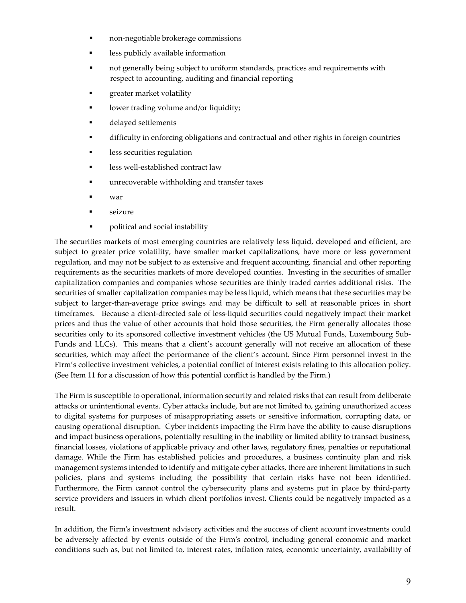- non‐negotiable brokerage commissions
- less publicly available information
- not generally being subject to uniform standards, practices and requirements with respect to accounting, auditing and financial reporting
- greater market volatility
- lower trading volume and/or liquidity;
- delayed settlements
- difficulty in enforcing obligations and contractual and other rights in foreign countries
- less securities regulation
- less well‐established contract law
- unrecoverable withholding and transfer taxes
- war
- seizure
- **•** political and social instability

The securities markets of most emerging countries are relatively less liquid, developed and efficient, are subject to greater price volatility, have smaller market capitalizations, have more or less government regulation, and may not be subject to as extensive and frequent accounting, financial and other reporting requirements as the securities markets of more developed counties. Investing in the securities of smaller capitalization companies and companies whose securities are thinly traded carries additional risks. The securities of smaller capitalization companies may be less liquid, which means that these securities may be subject to larger-than-average price swings and may be difficult to sell at reasonable prices in short timeframes. Because a client-directed sale of less-liquid securities could negatively impact their market prices and thus the value of other accounts that hold those securities, the Firm generally allocates those securities only to its sponsored collective investment vehicles (the US Mutual Funds, Luxembourg Sub-Funds and LLCs). This means that a client's account generally will not receive an allocation of these securities, which may affect the performance of the client's account. Since Firm personnel invest in the Firm's collective investment vehicles, a potential conflict of interest exists relating to this allocation policy. (See Item 11 for a discussion of how this potential conflict is handled by the Firm.)

The Firm is susceptible to operational, information security and related risks that can result from deliberate attacks or unintentional events. Cyber attacks include, but are not limited to, gaining unauthorized access to digital systems for purposes of misappropriating assets or sensitive information, corrupting data, or causing operational disruption. Cyber incidents impacting the Firm have the ability to cause disruptions and impact business operations, potentially resulting in the inability or limited ability to transact business, financial losses, violations of applicable privacy and other laws, regulatory fines, penalties or reputational damage. While the Firm has established policies and procedures, a business continuity plan and risk management systems intended to identify and mitigate cyber attacks, there are inherent limitations in such policies, plans and systems including the possibility that certain risks have not been identified. Furthermore, the Firm cannot control the cybersecurity plans and systems put in place by third-party service providers and issuers in which client portfolios invest. Clients could be negatively impacted as a result.

In addition, the Firm's investment advisory activities and the success of client account investments could be adversely affected by events outside of the Firmʹs control, including general economic and market conditions such as, but not limited to, interest rates, inflation rates, economic uncertainty, availability of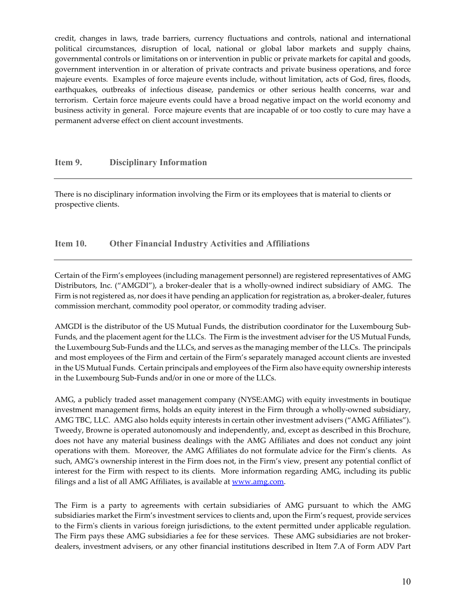credit, changes in laws, trade barriers, currency fluctuations and controls, national and international political circumstances, disruption of local, national or global labor markets and supply chains, governmental controls or limitations on or intervention in public or private markets for capital and goods, government intervention in or alteration of private contracts and private business operations, and force majeure events. Examples of force majeure events include, without limitation, acts of God, fires, floods, earthquakes, outbreaks of infectious disease, pandemics or other serious health concerns, war and terrorism. Certain force majeure events could have a broad negative impact on the world economy and business activity in general. Force majeure events that are incapable of or too costly to cure may have a permanent adverse effect on client account investments.

#### **Item 9. Disciplinary Information**

There is no disciplinary information involving the Firm or its employees that is material to clients or prospective clients.

#### **Item 10. Other Financial Industry Activities and Affiliations**

Certain of the Firm's employees (including management personnel) are registered representatives of AMG Distributors, Inc. ("AMGDI"), a broker-dealer that is a wholly-owned indirect subsidiary of AMG. The Firm is not registered as, nor does it have pending an application for registration as, a broker-dealer, futures commission merchant, commodity pool operator, or commodity trading adviser.

AMGDI is the distributor of the US Mutual Funds, the distribution coordinator for the Luxembourg Sub‐ Funds, and the placement agent for the LLCs. The Firm is the investment adviser for the US Mutual Funds, the Luxembourg Sub‐Funds and the LLCs, and serves as the managing member of the LLCs. The principals and most employees of the Firm and certain of the Firm's separately managed account clients are invested in the US Mutual Funds. Certain principals and employees of the Firm also have equity ownership interests in the Luxembourg Sub‐Funds and/or in one or more of the LLCs.

AMG, a publicly traded asset management company (NYSE:AMG) with equity investments in boutique investment management firms, holds an equity interest in the Firm through a wholly‐owned subsidiary, AMG TBC, LLC. AMG also holds equity interests in certain other investment advisers ("AMG Affiliates"). Tweedy, Browne is operated autonomously and independently, and, except as described in this Brochure, does not have any material business dealings with the AMG Affiliates and does not conduct any joint operations with them. Moreover, the AMG Affiliates do not formulate advice for the Firm's clients. As such, AMG's ownership interest in the Firm does not, in the Firm's view, present any potential conflict of interest for the Firm with respect to its clients. More information regarding AMG, including its public filings and a list of all AMG Affiliates, is available at www.amg.com.

The Firm is a party to agreements with certain subsidiaries of AMG pursuant to which the AMG subsidiaries market the Firm's investment services to clients and, upon the Firm's request, provide services to the Firmʹs clients in various foreign jurisdictions, to the extent permitted under applicable regulation. The Firm pays these AMG subsidiaries a fee for these services. These AMG subsidiaries are not broker‐ dealers, investment advisers, or any other financial institutions described in Item 7.A of Form ADV Part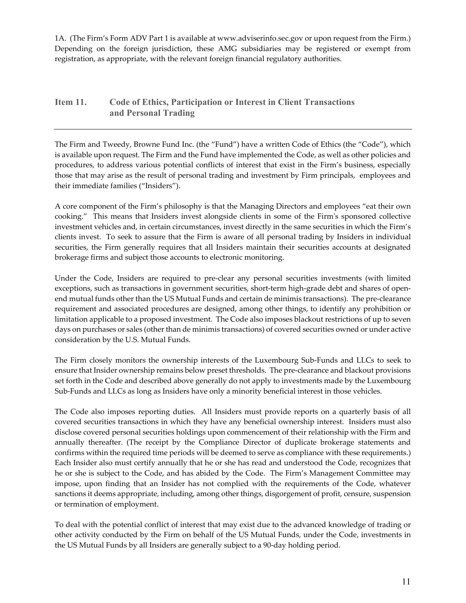1A. (The Firm's Form ADV Part 1 is available at www.adviserinfo.sec.gov or upon request from the Firm.) Depending on the foreign jurisdiction, these AMG subsidiaries may be registered or exempt from registration, as appropriate, with the relevant foreign financial regulatory authorities.

### **Item 11. Code of Ethics, Participation or Interest in Client Transactions and Personal Trading**

The Firm and Tweedy, Browne Fund Inc. (the "Fund") have a written Code of Ethics (the "Code"), which is available upon request. The Firm and the Fund have implemented the Code, as well as other policies and procedures, to address various potential conflicts of interest that exist in the Firm's business, especially those that may arise as the result of personal trading and investment by Firm principals, employees and their immediate families ("Insiders").

A core component of the Firm's philosophy is that the Managing Directors and employees "eat their own cooking." This means that Insiders invest alongside clients in some of the Firmʹs sponsored collective investment vehicles and, in certain circumstances, invest directly in the same securities in which the Firm's clients invest. To seek to assure that the Firm is aware of all personal trading by Insiders in individual securities, the Firm generally requires that all Insiders maintain their securities accounts at designated brokerage firms and subject those accounts to electronic monitoring.

Under the Code, Insiders are required to pre‐clear any personal securities investments (with limited exceptions, such as transactions in government securities, short-term high-grade debt and shares of openend mutual funds other than the US Mutual Funds and certain de minimis transactions). The pre‐clearance requirement and associated procedures are designed, among other things, to identify any prohibition or limitation applicable to a proposed investment. The Code also imposes blackout restrictions of up to seven days on purchases or sales (other than de minimis transactions) of covered securities owned or under active consideration by the U.S. Mutual Funds.

The Firm closely monitors the ownership interests of the Luxembourg Sub‐Funds and LLCs to seek to ensure that Insider ownership remains below preset thresholds. The pre‐clearance and blackout provisions set forth in the Code and described above generally do not apply to investments made by the Luxembourg Sub-Funds and LLCs as long as Insiders have only a minority beneficial interest in those vehicles.

The Code also imposes reporting duties. All Insiders must provide reports on a quarterly basis of all covered securities transactions in which they have any beneficial ownership interest. Insiders must also disclose covered personal securities holdings upon commencement of their relationship with the Firm and annually thereafter. (The receipt by the Compliance Director of duplicate brokerage statements and confirms within the required time periods will be deemed to serve as compliance with these requirements.) Each Insider also must certify annually that he or she has read and understood the Code, recognizes that he or she is subject to the Code, and has abided by the Code. The Firm's Management Committee may impose, upon finding that an Insider has not complied with the requirements of the Code, whatever sanctions it deems appropriate, including, among other things, disgorgement of profit, censure, suspension or termination of employment.

To deal with the potential conflict of interest that may exist due to the advanced knowledge of trading or other activity conducted by the Firm on behalf of the US Mutual Funds, under the Code, investments in the US Mutual Funds by all Insiders are generally subject to a 90‐day holding period.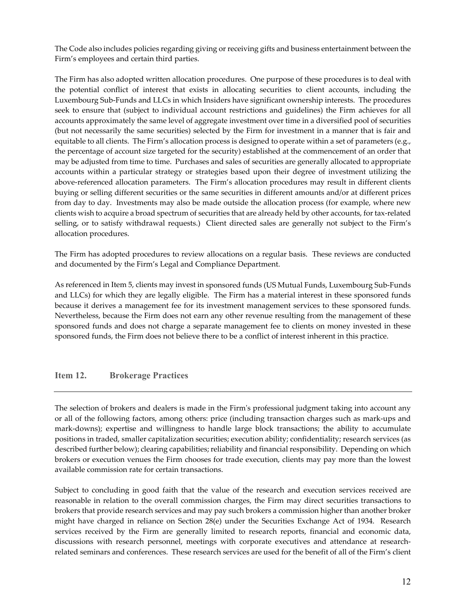The Code also includes policies regarding giving or receiving gifts and business entertainment between the Firm's employees and certain third parties.

The Firm has also adopted written allocation procedures. One purpose of these procedures is to deal with the potential conflict of interest that exists in allocating securities to client accounts, including the Luxembourg Sub‐Funds and LLCs in which Insiders have significant ownership interests. The procedures seek to ensure that (subject to individual account restrictions and guidelines) the Firm achieves for all accounts approximately the same level of aggregate investment over time in a diversified pool of securities (but not necessarily the same securities) selected by the Firm for investment in a manner that is fair and equitable to all clients. The Firm's allocation process is designed to operate within a set of parameters (e.g., the percentage of account size targeted for the security) established at the commencement of an order that may be adjusted from time to time. Purchases and sales of securities are generally allocated to appropriate accounts within a particular strategy or strategies based upon their degree of investment utilizing the above‐referenced allocation parameters. The Firm's allocation procedures may result in different clients buying or selling different securities or the same securities in different amounts and/or at different prices from day to day. Investments may also be made outside the allocation process (for example, where new clients wish to acquire a broad spectrum of securities that are already held by other accounts, for tax‐related selling, or to satisfy withdrawal requests.) Client directed sales are generally not subject to the Firm's allocation procedures.

The Firm has adopted procedures to review allocations on a regular basis. These reviews are conducted and documented by the Firm's Legal and Compliance Department.

As referenced in Item 5, clients may invest in sponsored funds (US Mutual Funds, Luxembourg Sub‐Funds and LLCs) for which they are legally eligible. The Firm has a material interest in these sponsored funds because it derives a management fee for its investment management services to these sponsored funds. Nevertheless, because the Firm does not earn any other revenue resulting from the management of these sponsored funds and does not charge a separate management fee to clients on money invested in these sponsored funds, the Firm does not believe there to be a conflict of interest inherent in this practice.

#### **Item 12. Brokerage Practices**

The selection of brokers and dealers is made in the Firmʹs professional judgment taking into account any or all of the following factors, among others: price (including transaction charges such as mark‐ups and mark-downs); expertise and willingness to handle large block transactions; the ability to accumulate positions in traded, smaller capitalization securities; execution ability; confidentiality; research services (as described further below); clearing capabilities; reliability and financial responsibility. Depending on which brokers or execution venues the Firm chooses for trade execution, clients may pay more than the lowest available commission rate for certain transactions.

Subject to concluding in good faith that the value of the research and execution services received are reasonable in relation to the overall commission charges, the Firm may direct securities transactions to brokers that provide research services and may pay such brokers a commission higher than another broker might have charged in reliance on Section 28(e) under the Securities Exchange Act of 1934. Research services received by the Firm are generally limited to research reports, financial and economic data, discussions with research personnel, meetings with corporate executives and attendance at researchrelated seminars and conferences. These research services are used for the benefit of all of the Firm's client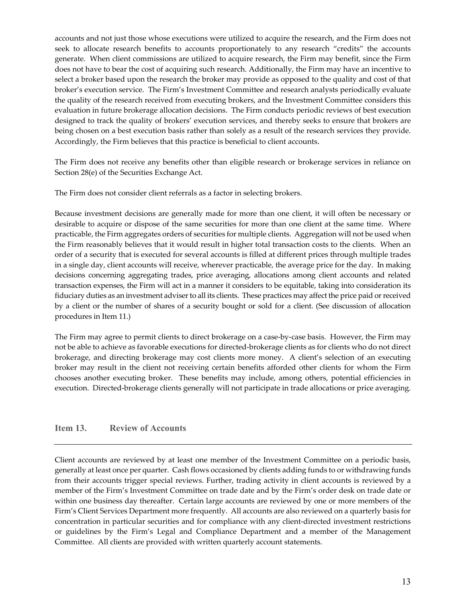accounts and not just those whose executions were utilized to acquire the research, and the Firm does not seek to allocate research benefits to accounts proportionately to any research "credits" the accounts generate. When client commissions are utilized to acquire research, the Firm may benefit, since the Firm does not have to bear the cost of acquiring such research. Additionally, the Firm may have an incentive to select a broker based upon the research the broker may provide as opposed to the quality and cost of that broker's execution service. The Firm's Investment Committee and research analysts periodically evaluate the quality of the research received from executing brokers, and the Investment Committee considers this evaluation in future brokerage allocation decisions. The Firm conducts periodic reviews of best execution designed to track the quality of brokers' execution services, and thereby seeks to ensure that brokers are being chosen on a best execution basis rather than solely as a result of the research services they provide. Accordingly, the Firm believes that this practice is beneficial to client accounts.

The Firm does not receive any benefits other than eligible research or brokerage services in reliance on Section 28(e) of the Securities Exchange Act.

The Firm does not consider client referrals as a factor in selecting brokers.

Because investment decisions are generally made for more than one client, it will often be necessary or desirable to acquire or dispose of the same securities for more than one client at the same time. Where practicable, the Firm aggregates orders of securities for multiple clients. Aggregation will not be used when the Firm reasonably believes that it would result in higher total transaction costs to the clients. When an order of a security that is executed for several accounts is filled at different prices through multiple trades in a single day, client accounts will receive, wherever practicable, the average price for the day. In making decisions concerning aggregating trades, price averaging, allocations among client accounts and related transaction expenses, the Firm will act in a manner it considers to be equitable, taking into consideration its fiduciary duties as an investment adviser to all its clients. These practices may affect the price paid or received by a client or the number of shares of a security bought or sold for a client. (See discussion of allocation procedures in Item 11.)

The Firm may agree to permit clients to direct brokerage on a case‐by‐case basis. However, the Firm may not be able to achieve as favorable executions for directed‐brokerage clients as for clients who do not direct brokerage, and directing brokerage may cost clients more money. A client's selection of an executing broker may result in the client not receiving certain benefits afforded other clients for whom the Firm chooses another executing broker. These benefits may include, among others, potential efficiencies in execution. Directed‐brokerage clients generally will not participate in trade allocations or price averaging.

#### **Item 13. Review of Accounts**

Client accounts are reviewed by at least one member of the Investment Committee on a periodic basis, generally at least once per quarter. Cash flows occasioned by clients adding funds to or withdrawing funds from their accounts trigger special reviews. Further, trading activity in client accounts is reviewed by a member of the Firm's Investment Committee on trade date and by the Firm's order desk on trade date or within one business day thereafter. Certain large accounts are reviewed by one or more members of the Firm's Client Services Department more frequently. All accounts are also reviewed on a quarterly basis for concentration in particular securities and for compliance with any client‐directed investment restrictions or guidelines by the Firm's Legal and Compliance Department and a member of the Management Committee. All clients are provided with written quarterly account statements.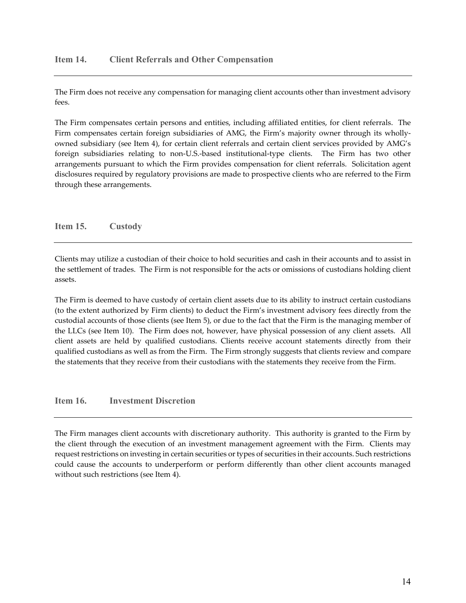The Firm does not receive any compensation for managing client accounts other than investment advisory fees.

The Firm compensates certain persons and entities, including affiliated entities, for client referrals. The Firm compensates certain foreign subsidiaries of AMG, the Firm's majority owner through its whollyowned subsidiary (see Item 4), for certain client referrals and certain client services provided by AMG's foreign subsidiaries relating to non-U.S.-based institutional-type clients. The Firm has two other arrangements pursuant to which the Firm provides compensation for client referrals. Solicitation agent disclosures required by regulatory provisions are made to prospective clients who are referred to the Firm through these arrangements.

**Item 15. Custody** 

Clients may utilize a custodian of their choice to hold securities and cash in their accounts and to assist in the settlement of trades. The Firm is not responsible for the acts or omissions of custodians holding client assets.

The Firm is deemed to have custody of certain client assets due to its ability to instruct certain custodians (to the extent authorized by Firm clients) to deduct the Firm's investment advisory fees directly from the custodial accounts of those clients (see Item 5), or due to the fact that the Firm is the managing member of the LLCs (see Item 10). The Firm does not, however, have physical possession of any client assets. All client assets are held by qualified custodians. Clients receive account statements directly from their qualified custodians as well as from the Firm. The Firm strongly suggests that clients review and compare the statements that they receive from their custodians with the statements they receive from the Firm.

**Item 16. Investment Discretion** 

The Firm manages client accounts with discretionary authority. This authority is granted to the Firm by the client through the execution of an investment management agreement with the Firm. Clients may request restrictions on investing in certain securities or types of securities in their accounts. Such restrictions could cause the accounts to underperform or perform differently than other client accounts managed without such restrictions (see Item 4).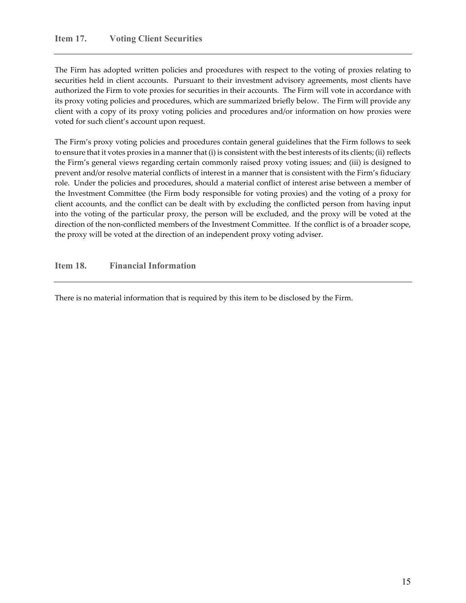The Firm has adopted written policies and procedures with respect to the voting of proxies relating to securities held in client accounts. Pursuant to their investment advisory agreements, most clients have authorized the Firm to vote proxies for securities in their accounts. The Firm will vote in accordance with its proxy voting policies and procedures, which are summarized briefly below. The Firm will provide any client with a copy of its proxy voting policies and procedures and/or information on how proxies were voted for such client's account upon request.

The Firm's proxy voting policies and procedures contain general guidelines that the Firm follows to seek to ensure that it votes proxies in a mannerthat (i) is consistent with the best interests of its clients; (ii) reflects the Firm's general views regarding certain commonly raised proxy voting issues; and (iii) is designed to prevent and/or resolve material conflicts of interest in a manner that is consistent with the Firm's fiduciary role. Under the policies and procedures, should a material conflict of interest arise between a member of the Investment Committee (the Firm body responsible for voting proxies) and the voting of a proxy for client accounts, and the conflict can be dealt with by excluding the conflicted person from having input into the voting of the particular proxy, the person will be excluded, and the proxy will be voted at the direction of the non-conflicted members of the Investment Committee. If the conflict is of a broader scope, the proxy will be voted at the direction of an independent proxy voting adviser.

**Item 18. Financial Information** 

There is no material information that is required by this item to be disclosed by the Firm.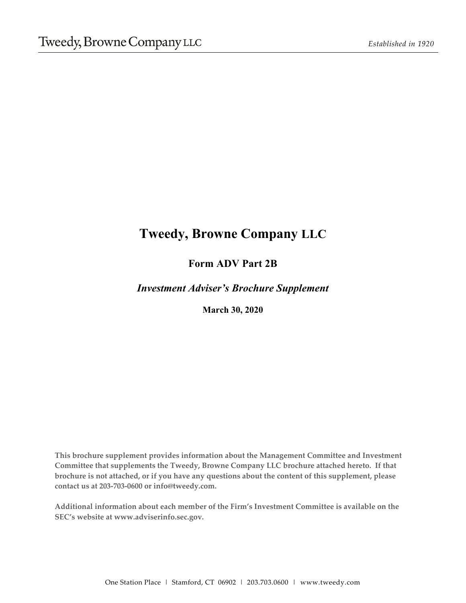# **Tweedy, Browne Company LLC**

# **Form ADV Part 2B**

*Investment Adviser's Brochure Supplement* 

**March 30, 2020** 

**This brochure supplement provides information about the Management Committee and Investment Committee that supplements the Tweedy, Browne Company LLC brochure attached hereto. If that brochure is not attached, or if you have any questions about the content of this supplement, please contact us at 203‐703‐0600 or info@tweedy.com.**

**Additional information about each member of the Firm's Investment Committee is available on the SEC's website at www.adviserinfo.sec.gov.**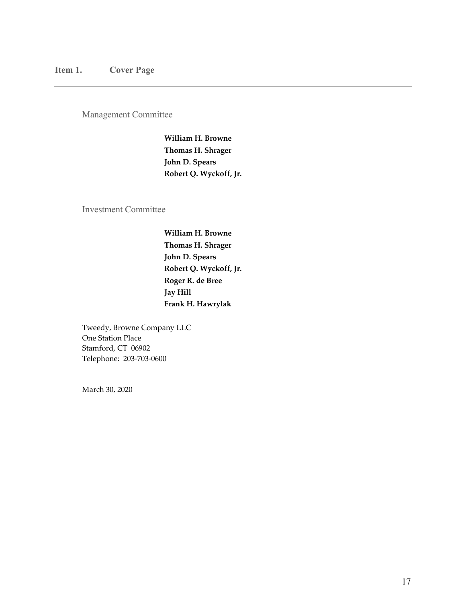Management Committee

**William H. Browne Thomas H. Shrager John D. Spears Robert Q. Wyckoff, Jr.**

Investment Committee

**William H. Browne Thomas H. Shrager John D. Spears Robert Q. Wyckoff, Jr. Roger R. de Bree Jay Hill Frank H. Hawrylak**

Tweedy, Browne Company LLC One Station Place Stamford, CT 06902 Telephone: 203‐703‐0600

March 30, 2020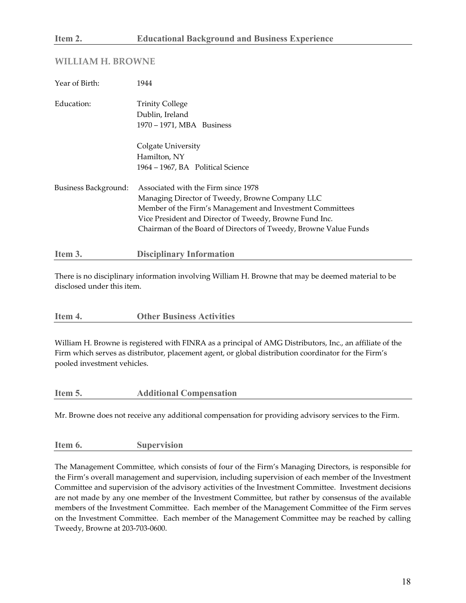#### **WILLIAM H. BROWNE**

| Year of Birth:       | 1944                                                                                                                                                                                                                                                                               |
|----------------------|------------------------------------------------------------------------------------------------------------------------------------------------------------------------------------------------------------------------------------------------------------------------------------|
| Education:           | <b>Trinity College</b><br>Dublin, Ireland<br>1970 - 1971, MBA Business                                                                                                                                                                                                             |
|                      | Colgate University<br>Hamilton, NY<br>1964 – 1967, BA Political Science                                                                                                                                                                                                            |
| Business Background: | Associated with the Firm since 1978<br>Managing Director of Tweedy, Browne Company LLC<br>Member of the Firm's Management and Investment Committees<br>Vice President and Director of Tweedy, Browne Fund Inc.<br>Chairman of the Board of Directors of Tweedy, Browne Value Funds |
| Item 3.              | <b>Disciplinary Information</b>                                                                                                                                                                                                                                                    |

There is no disciplinary information involving William H. Browne that may be deemed material to be disclosed under this item.

William H. Browne is registered with FINRA as a principal of AMG Distributors, Inc., an affiliate of the Firm which serves as distributor, placement agent, or global distribution coordinator for the Firm's pooled investment vehicles.

| Item 5. | <b>Additional Compensation</b> |
|---------|--------------------------------|
|         |                                |

Mr. Browne does not receive any additional compensation for providing advisory services to the Firm.

#### **Item 6. Supervision**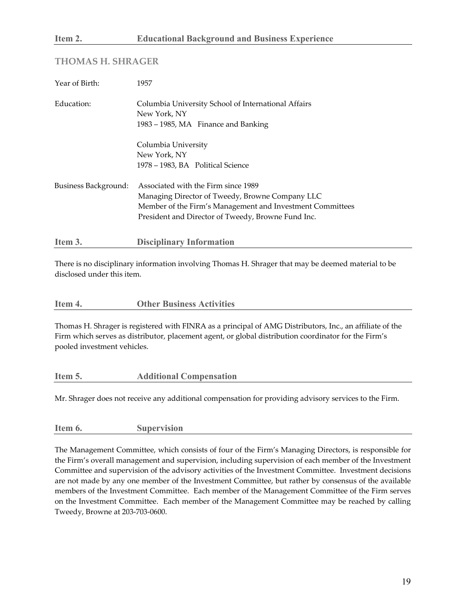#### **THOMAS H. SHRAGER**

| Year of Birth:       | 1957                                                                                                                                                                                                      |
|----------------------|-----------------------------------------------------------------------------------------------------------------------------------------------------------------------------------------------------------|
| Education:           | Columbia University School of International Affairs<br>New York, NY<br>1983 – 1985, MA Finance and Banking                                                                                                |
|                      | Columbia University<br>New York, NY<br>1978 – 1983, BA Political Science                                                                                                                                  |
| Business Background: | Associated with the Firm since 1989<br>Managing Director of Tweedy, Browne Company LLC<br>Member of the Firm's Management and Investment Committees<br>President and Director of Tweedy, Browne Fund Inc. |
| Item 3.              | <b>Disciplinary Information</b>                                                                                                                                                                           |

There is no disciplinary information involving Thomas H. Shrager that may be deemed material to be disclosed under this item.

#### **Item 4. Other Business Activities**

Thomas H. Shrager is registered with FINRA as a principal of AMG Distributors, Inc., an affiliate of the Firm which serves as distributor, placement agent, or global distribution coordinator for the Firm's pooled investment vehicles.

**Item 5. Additional Compensation** 

Mr. Shrager does not receive any additional compensation for providing advisory services to the Firm.

**Item 6. Supervision**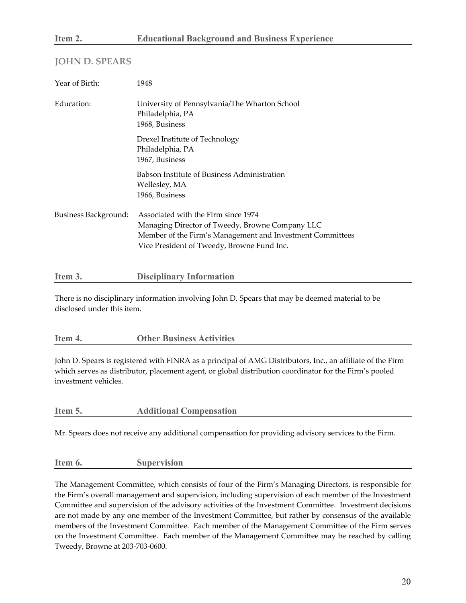#### **JOHN D. SPEARS**

| Year of Birth:       | 1948                                                                                                                                                                                              |
|----------------------|---------------------------------------------------------------------------------------------------------------------------------------------------------------------------------------------------|
| Education:           | University of Pennsylvania/The Wharton School<br>Philadelphia, PA<br>1968, Business                                                                                                               |
|                      | Drexel Institute of Technology<br>Philadelphia, PA<br>1967, Business                                                                                                                              |
|                      | Babson Institute of Business Administration<br>Wellesley, MA<br>1966, Business                                                                                                                    |
| Business Background: | Associated with the Firm since 1974<br>Managing Director of Tweedy, Browne Company LLC<br>Member of the Firm's Management and Investment Committees<br>Vice President of Tweedy, Browne Fund Inc. |

There is no disciplinary information involving John D. Spears that may be deemed material to be disclosed under this item.

| <b>Other Business Activities</b> |
|----------------------------------|
|----------------------------------|

John D. Spears is registered with FINRA as a principal of AMG Distributors, Inc., an affiliate of the Firm which serves as distributor, placement agent, or global distribution coordinator for the Firm's pooled investment vehicles.

| Item 5. | <b>Additional Compensation</b> |
|---------|--------------------------------|
|---------|--------------------------------|

**Item 3. Disciplinary Information** 

Mr. Spears does not receive any additional compensation for providing advisory services to the Firm.

#### **Item 6. Supervision**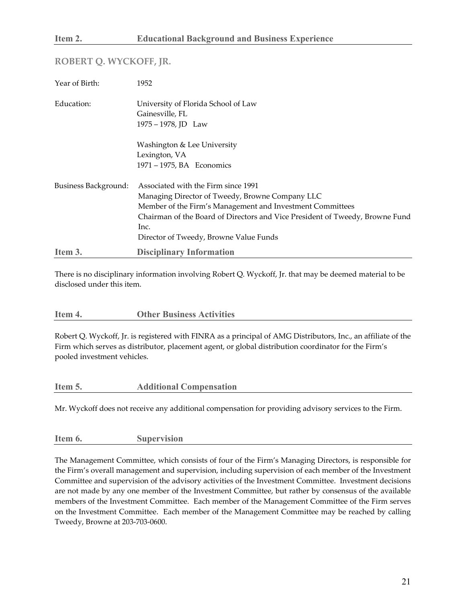#### **ROBERT Q. WYCKOFF, JR.**

| Year of Birth:       | 1952                                                                                                                                                                                                                                                                                  |
|----------------------|---------------------------------------------------------------------------------------------------------------------------------------------------------------------------------------------------------------------------------------------------------------------------------------|
| Education:           | University of Florida School of Law<br>Gainesville, FL<br>1975 - 1978, JD Law                                                                                                                                                                                                         |
|                      | Washington & Lee University<br>Lexington, VA<br>1971 – 1975, BA Economics                                                                                                                                                                                                             |
| Business Background: | Associated with the Firm since 1991<br>Managing Director of Tweedy, Browne Company LLC<br>Member of the Firm's Management and Investment Committees<br>Chairman of the Board of Directors and Vice President of Tweedy, Browne Fund<br>Inc.<br>Director of Tweedy, Browne Value Funds |
| Item 3.              | <b>Disciplinary Information</b>                                                                                                                                                                                                                                                       |

There is no disciplinary information involving Robert Q. Wyckoff, Jr. that may be deemed material to be disclosed under this item.

| Item 4. | <b>Other Business Activities</b> |
|---------|----------------------------------|
|         |                                  |

Robert Q. Wyckoff, Jr. is registered with FINRA as a principal of AMG Distributors, Inc., an affiliate of the Firm which serves as distributor, placement agent, or global distribution coordinator for the Firm's pooled investment vehicles.

| Item 5. | <b>Additional Compensation</b> |
|---------|--------------------------------|
|         |                                |

Mr. Wyckoff does not receive any additional compensation for providing advisory services to the Firm.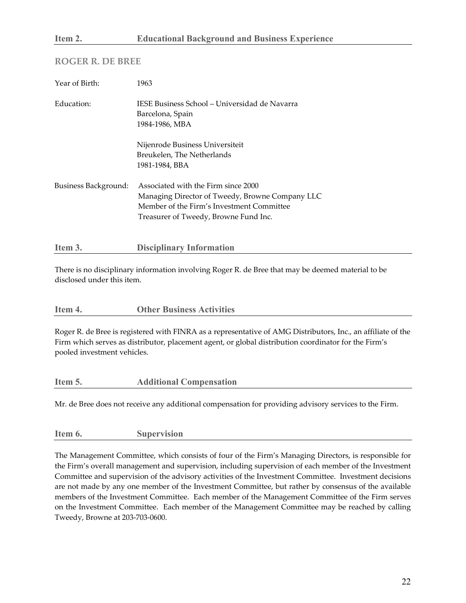#### **ROGER R. DE BREE**

| Year of Birth:       | 1963                                                                                                                                                                         |
|----------------------|------------------------------------------------------------------------------------------------------------------------------------------------------------------------------|
| Education:           | IESE Business School – Universidad de Navarra<br>Barcelona, Spain<br>1984-1986, MBA                                                                                          |
|                      | Nijenrode Business Universiteit<br>Breukelen, The Netherlands<br>1981-1984, BBA                                                                                              |
| Business Background: | Associated with the Firm since 2000<br>Managing Director of Tweedy, Browne Company LLC<br>Member of the Firm's Investment Committee<br>Treasurer of Tweedy, Browne Fund Inc. |

There is no disciplinary information involving Roger R. de Bree that may be deemed material to be disclosed under this item.

| Item 4. | <b>Other Business Activities</b> |
|---------|----------------------------------|
|         |                                  |

Roger R. de Bree is registered with FINRA as a representative of AMG Distributors, Inc., an affiliate of the Firm which serves as distributor, placement agent, or global distribution coordinator for the Firm's pooled investment vehicles.

| Item 5. | <b>Additional Compensation</b> |
|---------|--------------------------------|
|         |                                |

Mr. de Bree does not receive any additional compensation for providing advisory services to the Firm.

**Item 6. Supervision** 

**Item 3. Disciplinary Information**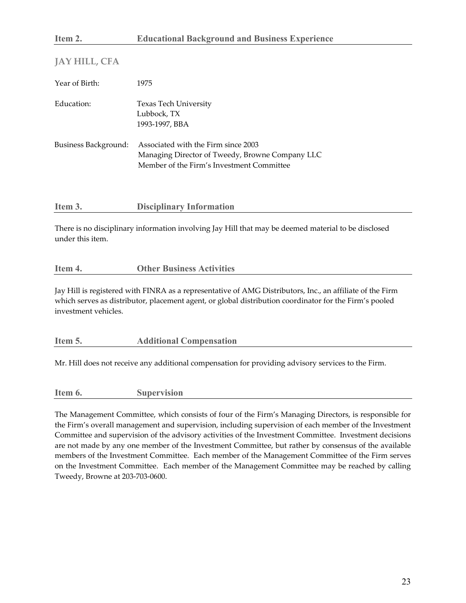| JAY HILL, CFA        |                                                                                                                                     |
|----------------------|-------------------------------------------------------------------------------------------------------------------------------------|
| Year of Birth:       | 1975                                                                                                                                |
| Education:           | <b>Texas Tech University</b><br>Lubbock, TX<br>1993-1997, BBA                                                                       |
| Business Background: | Associated with the Firm since 2003<br>Managing Director of Tweedy, Browne Company LLC<br>Member of the Firm's Investment Committee |

| Item 3. | <b>Disciplinary Information</b> |  |
|---------|---------------------------------|--|
|---------|---------------------------------|--|

There is no disciplinary information involving Jay Hill that may be deemed material to be disclosed under this item.

## **Item 4. Other Business Activities**

Jay Hill is registered with FINRA as a representative of AMG Distributors, Inc., an affiliate of the Firm which serves as distributor, placement agent, or global distribution coordinator for the Firm's pooled investment vehicles.

#### **Item 5. Additional Compensation**

Mr. Hill does not receive any additional compensation for providing advisory services to the Firm.

#### **Item 6. Supervision**